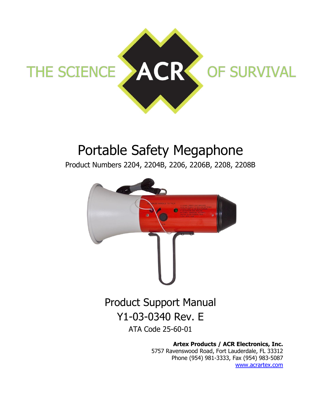

# Portable Safety Megaphone

Product Numbers 2204, 2204B, 2206, 2206B, 2208, 2208B



# Y1-03-0340 Rev. E

ATA Code 25-60-01

**Artex Products / ACR Electronics, Inc.**

5757 Ravenswood Road, Fort Lauderdale, FL 33312 Phone (954) 981-3333, Fax (954) 983-5087 [www.acrartex.com](http://www.acrartex.com/)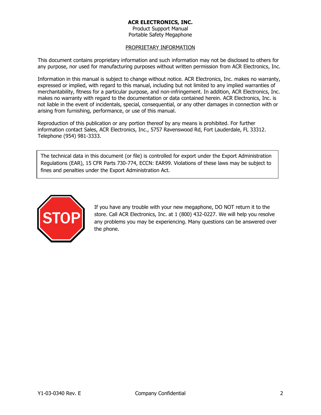Product Support Manual Portable Safety Megaphone

#### PROPRIETARY INFORMATION

This document contains proprietary information and such information may not be disclosed to others for any purpose, nor used for manufacturing purposes without written permission from ACR Electronics, Inc.

Information in this manual is subject to change without notice. ACR Electronics, Inc. makes no warranty, expressed or implied, with regard to this manual, including but not limited to any implied warranties of merchantability, fitness for a particular purpose, and non-infringement. In addition, ACR Electronics, Inc. makes no warranty with regard to the documentation or data contained herein. ACR Electronics, Inc. is not liable in the event of incidentals, special, consequential, or any other damages in connection with or arising from furnishing, performance, or use of this manual.

Reproduction of this publication or any portion thereof by any means is prohibited. For further information contact Sales, ACR Electronics, Inc., 5757 Ravenswood Rd, Fort Lauderdale, FL 33312. Telephone (954) 981-3333.

The technical data in this document (or file) is controlled for export under the Export Administration Regulations (EAR), 15 CFR Parts 730-774, ECCN: EAR99. Violations of these laws may be subject to fines and penalties under the Export Administration Act.



If you have any trouble with your new megaphone, DO NOT return it to the store. Call ACR Electronics, Inc. at 1 (800) 432-0227. We will help you resolve any problems you may be experiencing. Many questions can be answered over the phone.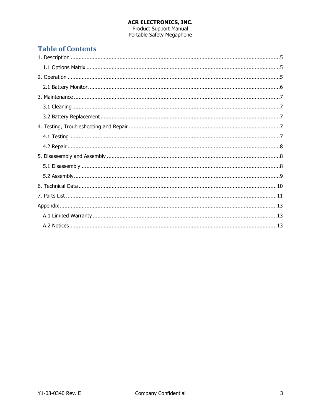**ACR ELECTRONICS, INC.**<br>Product Support Manual<br>Portable Safety Megaphone

# **Table of Contents**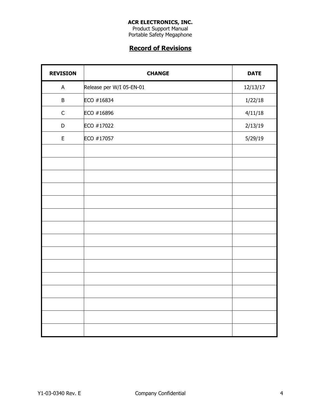Product Support Manual Portable Safety Megaphone

# **Record of Revisions**

| <b>REVISION</b> | <b>CHANGE</b>            | <b>DATE</b> |
|-----------------|--------------------------|-------------|
| A               | Release per W/I 05-EN-01 | 12/13/17    |
| B               | ECO #16834               | 1/22/18     |
| $\mathsf C$     | ECO #16896               | 4/11/18     |
| D               | ECO #17022               | 2/13/19     |
| $\mathsf E$     | ECO #17057               | 5/29/19     |
|                 |                          |             |
|                 |                          |             |
|                 |                          |             |
|                 |                          |             |
|                 |                          |             |
|                 |                          |             |
|                 |                          |             |
|                 |                          |             |
|                 |                          |             |
|                 |                          |             |
|                 |                          |             |
|                 |                          |             |
|                 |                          |             |
|                 |                          |             |
|                 |                          |             |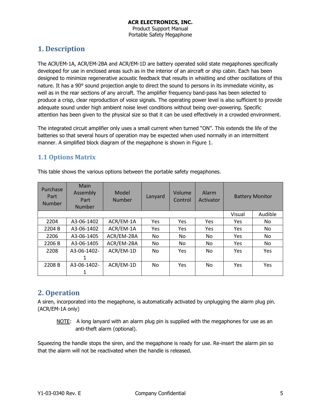# <span id="page-4-0"></span>**1. Description**

The ACR/EM-1A, ACR/EM-2BA and ACR/EM-1D are battery operated solid state megaphones specifically developed for use in enclosed areas such as in the interior of an aircraft or ship cabin. Each has been designed to minimize regenerative acoustic feedback that results in whistling and other oscillations of this nature. It has a 90° sound projection angle to direct the sound to persons in its immediate vicinity, as well as in the rear sections of any aircraft. The amplifier frequency band-pass has been selected to produce a crisp, clear reproduction of voice signals. The operating power level is also sufficient to provide adequate sound under high ambient noise level conditions without being over-powering. Specific attention has been given to the physical size so that it can be used effectively in a crowded environment.

The integrated circuit amplifier only uses a small current when turned "ON". This extends the life of the batteries so that several hours of operation may be expected when used normally in an intermittent manner. A simplified block diagram of the megaphone is shown in Figure 1.

### <span id="page-4-1"></span>**1.1 Options Matrix**

| Purchase<br>Part<br><b>Number</b> | Main<br>Assembly<br>Part<br>Number | Model<br><b>Number</b> | Lanyard    | Volume<br>Control | Alarm<br>Activator |            | <b>Battery Monitor</b> |
|-----------------------------------|------------------------------------|------------------------|------------|-------------------|--------------------|------------|------------------------|
|                                   |                                    |                        |            |                   |                    | Visual     | Audible                |
| 2204                              | A3-06-1402                         | ACR/EM-1A              | <b>Yes</b> | Yes               | <b>Yes</b>         | Yes        | No.                    |
| 2204 B                            | A3-06-1402                         | ACR/EM-1A              | Yes        | Yes               | Yes                | <b>Yes</b> | No.                    |
| 2206                              | A3-06-1405                         | ACR/EM-2BA             | No         | No                | No.                | <b>Yes</b> | No.                    |
| 2206 B                            | A3-06-1405                         | ACR/EM-2BA             | No         | No                | No.                | <b>Yes</b> | No.                    |
| 2208                              | A3-06-1402-                        | ACR/EM-1D              | No         | Yes               | No.                | <b>Yes</b> | Yes                    |
|                                   | 1                                  |                        |            |                   |                    |            |                        |
| 2208 B                            | A3-06-1402-                        | ACR/EM-1D              | No         | Yes               | No.                | Yes        | Yes                    |
|                                   |                                    |                        |            |                   |                    |            |                        |

This table shows the various options between the portable safety megaphones.

# <span id="page-4-2"></span>**2. Operation**

A siren, incorporated into the megaphone, is automatically activated by unplugging the alarm plug pin. (ACR/EM-1A only)

NOTE: A long lanyard with an alarm plug pin is supplied with the megaphones for use as an anti-theft alarm (optional).

Squeezing the handle stops the siren, and the megaphone is ready for use. Re-insert the alarm pin so that the alarm will not be reactivated when the handle is released.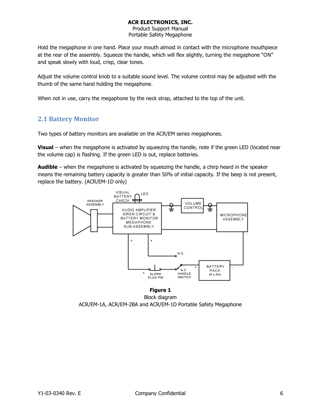Product Support Manual Portable Safety Megaphone

Hold the megaphone in one hand. Place your mouth almost in contact with the microphone mouthpiece at the rear of the assembly. Squeeze the handle, which will flex slightly, turning the megaphone "ON" and speak slowly with loud, crisp, clear tones.

Adjust the volume control knob to a suitable sound level. The volume control may be adjusted with the thumb of the same hand holding the megaphone.

When not in use, carry the megaphone by the neck strap, attached to the top of the unit.

#### <span id="page-5-0"></span>**2.1 Battery Monitor**

Two types of battery monitors are available on the ACR/EM series megaphones.

**Visual** – when the megaphone is activated by squeezing the handle, note if the green LED (located near the volume cap) is flashing. If the green LED is out, replace batteries.

**Audible** – when the megaphone is activated by squeezing the handle, a chirp heard in the speaker means the remaining battery capacity is greater than 50% of initial capacity. If the beep is not present, replace the battery. (ACR/EM-1D only)



Block diagram ACR/EM-1A, ACR/EM-2BA and ACR/EM-1D Portable Safety Megaphone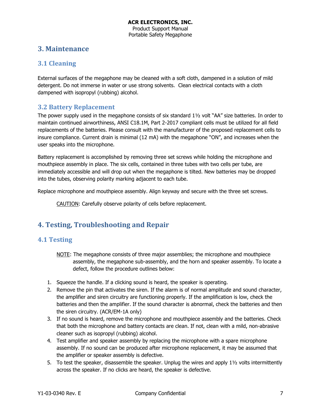### <span id="page-6-0"></span>**3. Maintenance**

#### <span id="page-6-1"></span>**3.1 Cleaning**

External surfaces of the megaphone may be cleaned with a soft cloth, dampened in a solution of mild detergent. Do not immerse in water or use strong solvents. Clean electrical contacts with a cloth dampened with isopropyl (rubbing) alcohol.

#### <span id="page-6-2"></span>**3.2 Battery Replacement**

The power supply used in the megaphone consists of six standard 1½ volt "AA" size batteries. In order to maintain continued airworthiness, ANSI C18.1M, Part 2-2017 compliant cells must be utilized for all field replacements of the batteries. Please consult with the manufacturer of the proposed replacement cells to insure compliance. Current drain is minimal (12 mA) with the megaphone "ON", and increases when the user speaks into the microphone.

Battery replacement is accomplished by removing three set screws while holding the microphone and mouthpiece assembly in place. The six cells, contained in three tubes with two cells per tube, are immediately accessible and will drop out when the megaphone is tilted. New batteries may be dropped into the tubes, observing polarity marking adjacent to each tube.

Replace microphone and mouthpiece assembly. Align keyway and secure with the three set screws.

CAUTION: Carefully observe polarity of cells before replacement.

# <span id="page-6-3"></span>**4. Testing, Troubleshooting and Repair**

#### <span id="page-6-4"></span>**4.1 Testing**

- NOTE: The megaphone consists of three major assemblies; the microphone and mouthpiece assembly, the megaphone sub-assembly, and the horn and speaker assembly. To locate a defect, follow the procedure outlines below:
- 1. Squeeze the handle. If a clicking sound is heard, the speaker is operating.
- 2. Remove the pin that activates the siren. If the alarm is of normal amplitude and sound character, the amplifier and siren circuitry are functioning properly. If the amplification is low, check the batteries and then the amplifier. If the sound character is abnormal, check the batteries and then the siren circuitry. (ACR/EM-1A only)
- 3. If no sound is heard, remove the microphone and mouthpiece assembly and the batteries. Check that both the microphone and battery contacts are clean. If not, clean with a mild, non-abrasive cleaner such as isopropyl (rubbing) alcohol.
- 4. Test amplifier and speaker assembly by replacing the microphone with a spare microphone assembly. If no sound can be produced after microphone replacement, it may be assumed that the amplifier or speaker assembly is defective.
- 5. To test the speaker, disassemble the speaker. Unplug the wires and apply 1½ volts intermittently across the speaker. If no clicks are heard, the speaker is defective.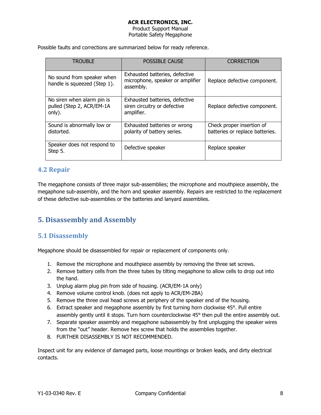Product Support Manual Portable Safety Megaphone

Possible faults and corrections are summarized below for ready reference.

| <b>TROUBLE</b>                                                    | <b>POSSIBLE CAUSE</b>                                                           | <b>CORRECTION</b>                                            |
|-------------------------------------------------------------------|---------------------------------------------------------------------------------|--------------------------------------------------------------|
| No sound from speaker when<br>handle is squeezed (Step 1).        | Exhausted batteries, defective<br>microphone, speaker or amplifier<br>assembly. | Replace defective component.                                 |
| No siren when alarm pin is<br>pulled (Step 2, ACR/EM-1A<br>only). | Exhausted batteries, defective<br>siren circuitry or defective<br>amplifier.    | Replace defective component.                                 |
| Sound is abnormally low or<br>distorted.                          | Exhausted batteries or wrong<br>polarity of battery series.                     | Check proper insertion of<br>batteries or replace batteries. |
| Speaker does not respond to<br>Step 5.                            | Defective speaker                                                               | Replace speaker                                              |

#### <span id="page-7-0"></span>**4.2 Repair**

The megaphone consists of three major sub-assemblies; the microphone and mouthpiece assembly, the megaphone sub-assembly, and the horn and speaker assembly. Repairs are restricted to the replacement of these defective sub-assemblies or the batteries and lanyard assemblies.

# <span id="page-7-1"></span>**5. Disassembly and Assembly**

#### <span id="page-7-2"></span>**5.1 Disassembly**

Megaphone should be disassembled for repair or replacement of components only.

- 1. Remove the microphone and mouthpiece assembly by removing the three set screws.
- 2. Remove battery cells from the three tubes by tilting megaphone to allow cells to drop out into the hand.
- 3. Unplug alarm plug pin from side of housing. (ACR/EM-1A only)
- 4. Remove volume control knob. (does not apply to ACR/EM-2BA)
- 5. Remove the three oval head screws at periphery of the speaker end of the housing.
- 6. Extract speaker and megaphone assembly by first turning horn clockwise 45°. Pull entire assembly gently until it stops. Turn horn counterclockwise 45° then pull the entire assembly out.
- 7. Separate speaker assembly and megaphone subassembly by first unplugging the speaker wires from the "out" header. Remove hex screw that holds the assemblies together.
- 8. FURTHER DISASSEMBLY IS NOT RECOMMENDED.

Inspect unit for any evidence of damaged parts, loose mountings or broken leads, and dirty electrical contacts.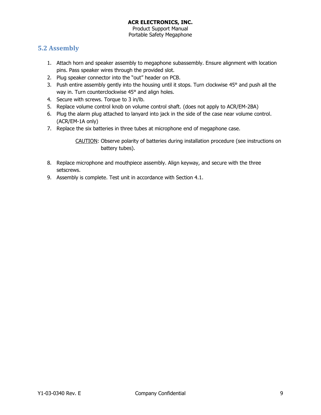Product Support Manual Portable Safety Megaphone

### <span id="page-8-0"></span>**5.2 Assembly**

- 1. Attach horn and speaker assembly to megaphone subassembly. Ensure alignment with location pins. Pass speaker wires through the provided slot.
- 2. Plug speaker connector into the "out" header on PCB.
- 3. Push entire assembly gently into the housing until it stops. Turn clockwise 45° and push all the way in. Turn counterclockwise 45° and align holes.
- 4. Secure with screws. Torque to 3 in/lb.
- 5. Replace volume control knob on volume control shaft. (does not apply to ACR/EM-2BA)
- 6. Plug the alarm plug attached to lanyard into jack in the side of the case near volume control. (ACR/EM-1A only)
- 7. Replace the six batteries in three tubes at microphone end of megaphone case.

CAUTION: Observe polarity of batteries during installation procedure (see instructions on battery tubes).

- 8. Replace microphone and mouthpiece assembly. Align keyway, and secure with the three setscrews.
- 9. Assembly is complete. Test unit in accordance with Section 4.1.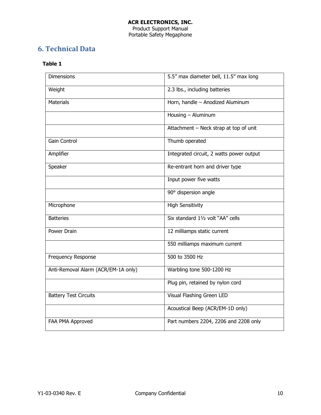#### **ACR ELECTRONICS, INC.** Product Support Manual Portable Safety Megaphone

# <span id="page-9-0"></span>**6. Technical Data**

#### **Table 1**

| <b>Dimensions</b>                   | 5.5" max diameter bell, 11.5" max long   |
|-------------------------------------|------------------------------------------|
| Weight                              | 2.3 lbs., including batteries            |
| <b>Materials</b>                    | Horn, handle - Anodized Aluminum         |
|                                     | Housing - Aluminum                       |
|                                     | Attachment - Neck strap at top of unit   |
| Gain Control                        | Thumb operated                           |
| Amplifier                           | Integrated circuit, 2 watts power output |
| Speaker                             | Re-entrant horn and driver type          |
|                                     | Input power five watts                   |
|                                     | 90° dispersion angle                     |
| Microphone                          | <b>High Sensitivity</b>                  |
| <b>Batteries</b>                    | Six standard 11/2 volt "AA" cells        |
| Power Drain                         | 12 milliamps static current              |
|                                     | 550 milliamps maximum current            |
| <b>Frequency Response</b>           | 500 to 3500 Hz                           |
| Anti-Removal Alarm (ACR/EM-1A only) | Warbling tone 500-1200 Hz                |
|                                     | Plug pin, retained by nylon cord         |
| <b>Battery Test Circuits</b>        | Visual Flashing Green LED                |
|                                     | Acoustical Beep (ACR/EM-1D only)         |
| FAA PMA Approved                    | Part numbers 2204, 2206 and 2208 only    |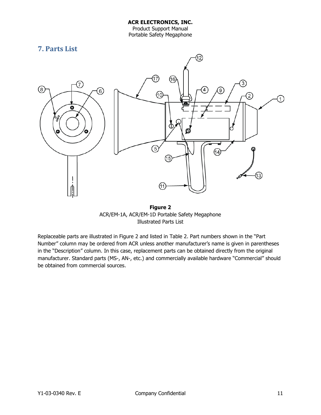Portable Safety Megaphone

<span id="page-10-0"></span>

**Figure 2** ACR/EM-1A, ACR/EM-1D Portable Safety Megaphone Illustrated Parts List

Replaceable parts are illustrated in Figure 2 and listed in Table 2. Part numbers shown in the "Part Number" column may be ordered from ACR unless another manufacturer's name is given in parentheses in the "Description" column. In this case, replacement parts can be obtained directly from the original manufacturer. Standard parts (MS-, AN-, etc.) and commercially available hardware "Commercial" should be obtained from commercial sources.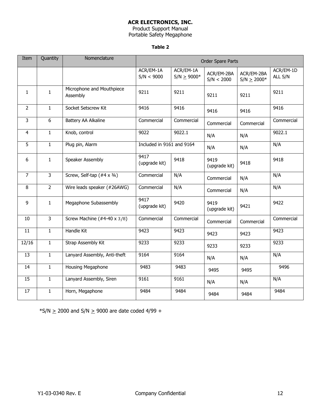Product Support Manual Portable Safety Megaphone

#### **Table 2**

| Item           | Quantity       | Nomenclature                          | Order Spare Parts         |                              |                          |                               |                      |
|----------------|----------------|---------------------------------------|---------------------------|------------------------------|--------------------------|-------------------------------|----------------------|
|                |                |                                       | ACR/EM-1A<br>S/N < 9000   | ACR/EM-1A<br>$S/N \ge 9000*$ | ACR/EM-2BA<br>S/N < 2000 | ACR/EM-2BA<br>$S/N \ge 2000*$ | ACR/EM-1D<br>ALL S/N |
| $\mathbf{1}$   | $\mathbf{1}$   | Microphone and Mouthpiece<br>Assembly | 9211                      | 9211                         | 9211                     | 9211                          | 9211                 |
| $\overline{2}$ | $\mathbf{1}$   | Socket Setscrew Kit                   | 9416                      | 9416                         | 9416                     | 9416                          | 9416                 |
| $\overline{3}$ | $6\,$          | Battery AA Alkaline                   | Commercial                | Commercial                   | Commercial               | Commercial                    | Commercial           |
| 4              | $\mathbf{1}$   | Knob, control                         | 9022                      | 9022.1                       | N/A                      | N/A                           | 9022.1               |
| 5              | $\mathbf{1}$   | Plug pin, Alarm                       | Included in 9161 and 9164 |                              | N/A                      | N/A                           | N/A                  |
| 6              | $\mathbf{1}$   | Speaker Assembly                      | 9417<br>(upgrade kit)     | 9418                         | 9419<br>(upgrade kit)    | 9418                          | 9418                 |
| $\overline{7}$ | سا             | Screw, Self-tap $($ #4 x $3/4)$       | Commercial                | N/A                          | Commercial               | N/A                           | N/A                  |
| 8              | $\overline{2}$ | Wire leads speaker (#26AWG)           | Commercial                | N/A                          | Commercial               | N/A                           | N/A                  |
| 9              | $\mathbf{1}$   | Megaphone Subassembly                 | 9417<br>(upgrade kit)     | 9420                         | 9419<br>(upgrade kit)    | 9421                          | 9422                 |
| 10             | $\mathbf{3}$   | Screw Machine $(*4-40 \times 3/8)$    | Commercial                | Commercial                   | Commercial               | Commercial                    | Commercial           |
| 11             | $\mathbf{1}$   | Handle Kit                            | 9423                      | 9423                         | 9423                     | 9423                          | 9423                 |
| 12/16          | $\mathbf{1}$   | Strap Assembly Kit                    | 9233                      | 9233                         | 9233                     | 9233                          | 9233                 |
| 13             | $\mathbf{1}$   | Lanyard Assembly, Anti-theft          | 9164                      | 9164                         | N/A                      | N/A                           | N/A                  |
| 14             | $\mathbf{1}$   | Housing Megaphone                     | 9483                      | 9483                         | 9495                     | 9495                          | 9496                 |
| 15             | $\mathbf{1}$   | Lanyard Assembly, Siren               | 9161                      | 9161                         | N/A                      | N/A                           | N/A                  |
| 17             | $\mathbf{1}$   | Horn, Megaphone                       | 9484                      | 9484                         | 9484                     | 9484                          | 9484                 |

 $*S/N \ge 2000$  and S/N  $\ge 9000$  are date coded 4/99 +